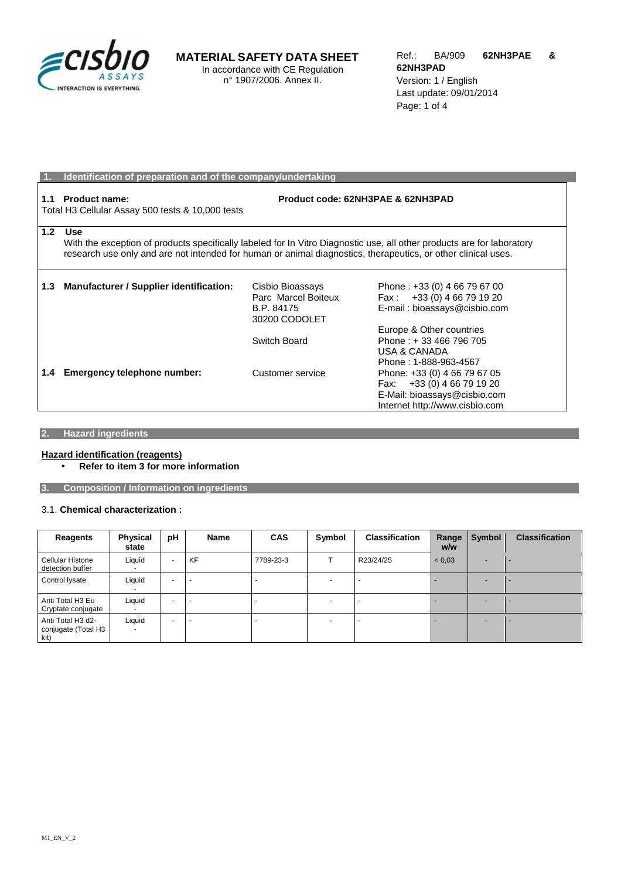

## **MATERIAL SAFETY DATA SHEET**

In accordance with CE Regulation n° 1907/2006. Annex II.

|                  | Identification of preparation and of the company/undertaking                                                                                                                                                                                          |                                                                        |                                                                                                                              |  |  |
|------------------|-------------------------------------------------------------------------------------------------------------------------------------------------------------------------------------------------------------------------------------------------------|------------------------------------------------------------------------|------------------------------------------------------------------------------------------------------------------------------|--|--|
| 1.1              | <b>Product name:</b><br>Product code: 62NH3PAE & 62NH3PAD<br>Total H3 Cellular Assay 500 tests & 10,000 tests                                                                                                                                         |                                                                        |                                                                                                                              |  |  |
| 1.2 <sub>1</sub> | <b>Use</b><br>With the exception of products specifically labeled for In Vitro Diagnostic use, all other products are for laboratory<br>research use only and are not intended for human or animal diagnostics, therapeutics, or other clinical uses. |                                                                        |                                                                                                                              |  |  |
| 1.3              | <b>Manufacturer / Supplier identification:</b>                                                                                                                                                                                                        | Cisbio Bioassays<br>Parc Marcel Boiteux<br>B.P. 84175<br>30200 CODOLET | Phone: +33 (0) 4 66 79 67 00<br>Fax: +33 (0) 4 66 79 19 20<br>E-mail: bioassays@cisbio.com<br>Europe & Other countries       |  |  |
|                  |                                                                                                                                                                                                                                                       | Switch Board                                                           | Phone: +33 466 796 705<br><b>USA &amp; CANADA</b><br>Phone: 1-888-963-4567                                                   |  |  |
| 1.4              | Emergency telephone number:                                                                                                                                                                                                                           | Customer service                                                       | Phone: +33 (0) 4 66 79 67 05<br>Fax: +33 (0) 4 66 79 19 20<br>E-Mail: bioassays@cisbio.com<br>Internet http://www.cisbio.com |  |  |

## **2. Hazard ingredients**

#### **Hazard identification (reagents)**

• **Refer to item 3 for more information** 

**3. Composition / Information on ingredients** 

### 3.1. **Chemical characterization :**

| Reagents                                         | <b>Physical</b><br>state | pH                       | Name      | <b>CAS</b> | Symbol                   | <b>Classification</b> | Range<br>w/w | Symbol | <b>Classification</b> |
|--------------------------------------------------|--------------------------|--------------------------|-----------|------------|--------------------------|-----------------------|--------------|--------|-----------------------|
| Cellular Histone<br>detection buffer             | Liquid                   | $\overline{\phantom{0}}$ | <b>KF</b> | 7789-23-3  |                          | R23/24/25             | < 0.03       |        |                       |
| Control Iysate                                   | Liquid                   | $\overline{\phantom{a}}$ |           |            |                          |                       |              |        |                       |
| Anti Total H3 Eu<br>Cryptate conjugate           | Liquid                   | $\overline{\phantom{0}}$ |           |            | $\overline{\phantom{a}}$ |                       |              |        |                       |
| Anti Total H3 d2-<br>conjugate (Total H3<br>kit) | Liquid                   | $\overline{a}$           |           |            | $\overline{\phantom{0}}$ |                       |              |        |                       |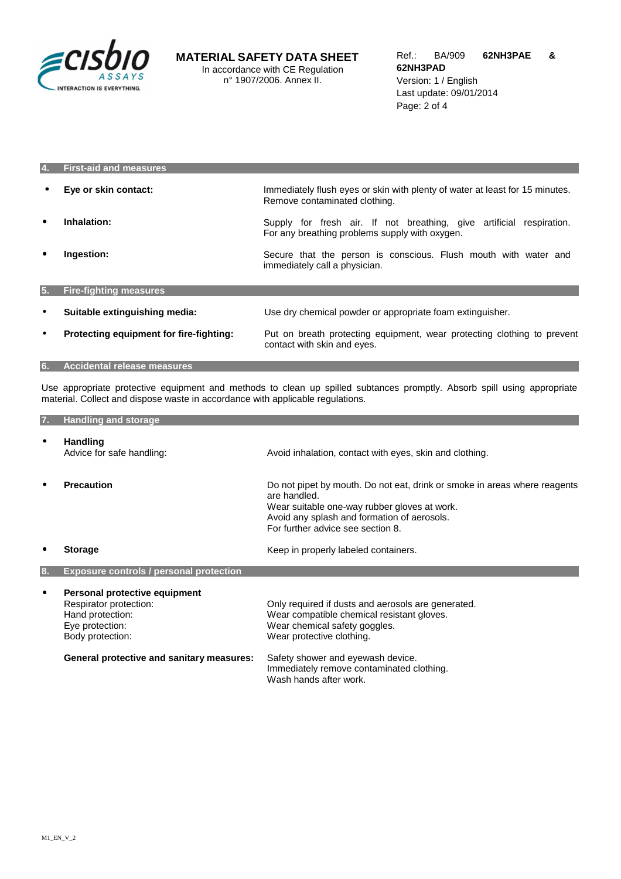

| 4.        | <b>First-aid and measures</b>           |                                                                                                                        |
|-----------|-----------------------------------------|------------------------------------------------------------------------------------------------------------------------|
| $\bullet$ | Eye or skin contact:                    | Immediately flush eyes or skin with plenty of water at least for 15 minutes.<br>Remove contaminated clothing.          |
| $\bullet$ | Inhalation:                             | Supply for fresh air. If not breathing, give artificial respiration.<br>For any breathing problems supply with oxygen. |
| $\bullet$ | Ingestion:                              | Secure that the person is conscious. Flush mouth with water and<br>immediately call a physician.                       |
| 5.        | <b>Fire-fighting measures</b>           |                                                                                                                        |
| $\bullet$ | Suitable extinguishing media:           | Use dry chemical powder or appropriate foam extinguisher.                                                              |
| $\bullet$ | Protecting equipment for fire-fighting: | Put on breath protecting equipment, wear protecting clothing to prevent<br>contact with skin and eyes.                 |

**6. Accidental release measures** 

Use appropriate protective equipment and methods to clean up spilled subtances promptly. Absorb spill using appropriate material. Collect and dispose waste in accordance with applicable regulations.

| 7. | <b>Handling and storage</b>                                                                                                                                            |                                                                                                                                                                                                                                                                            |
|----|------------------------------------------------------------------------------------------------------------------------------------------------------------------------|----------------------------------------------------------------------------------------------------------------------------------------------------------------------------------------------------------------------------------------------------------------------------|
| ٠  | <b>Handling</b><br>Advice for safe handling:                                                                                                                           | Avoid inhalation, contact with eyes, skin and clothing.                                                                                                                                                                                                                    |
|    | <b>Precaution</b>                                                                                                                                                      | Do not pipet by mouth. Do not eat, drink or smoke in areas where reagents<br>are handled.<br>Wear suitable one-way rubber gloves at work.<br>Avoid any splash and formation of aerosols.<br>For further advice see section 8.                                              |
|    | <b>Storage</b>                                                                                                                                                         | Keep in properly labeled containers.                                                                                                                                                                                                                                       |
| 8. | <b>Exposure controls / personal protection</b>                                                                                                                         |                                                                                                                                                                                                                                                                            |
| ٠  | Personal protective equipment<br>Respirator protection:<br>Hand protection:<br>Eye protection:<br>Body protection:<br><b>General protective and sanitary measures:</b> | Only required if dusts and aerosols are generated.<br>Wear compatible chemical resistant gloves.<br>Wear chemical safety goggles.<br>Wear protective clothing.<br>Safety shower and eyewash device.<br>Immediately remove contaminated clothing.<br>Wash hands after work. |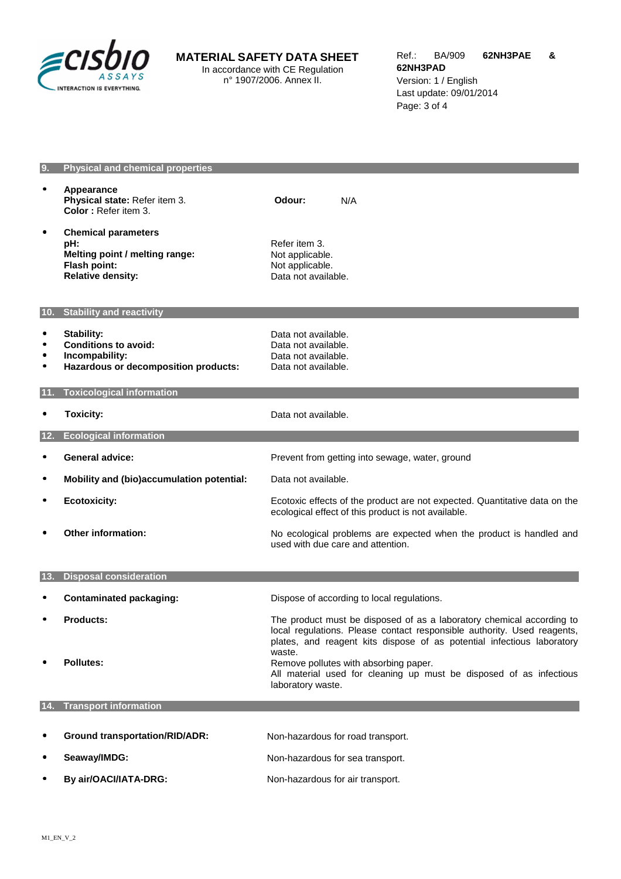

# **MATERIAL SAFETY DATA SHEET**

In accordance with CE Regulation n° 1907/2006. Annex II.

### **9. Physical and chemical properties**

|                     | Appearance<br>Physical state: Refer item 3.<br>Color: Refer item 3.                                             | Odour:<br>N/A                                                                                                                                               |
|---------------------|-----------------------------------------------------------------------------------------------------------------|-------------------------------------------------------------------------------------------------------------------------------------------------------------|
| $\bullet$           | <b>Chemical parameters</b><br>pH:<br>Melting point / melting range:<br>Flash point:<br><b>Relative density:</b> | Refer item 3.<br>Not applicable.<br>Not applicable.<br>Data not available.                                                                                  |
| 10.                 | <b>Stability and reactivity</b>                                                                                 |                                                                                                                                                             |
| $\bullet$<br>٠<br>٠ | <b>Stability:</b><br><b>Conditions to avoid:</b><br>Incompability:<br>Hazardous or decomposition products:      | Data not available.<br>Data not available.<br>Data not available.<br>Data not available.                                                                    |
|                     | <b>Toxicological information</b>                                                                                |                                                                                                                                                             |
|                     | <b>Toxicity:</b>                                                                                                | Data not available.                                                                                                                                         |
| 12.                 | <b>Ecological information</b>                                                                                   |                                                                                                                                                             |
|                     | <b>General advice:</b>                                                                                          | Prevent from getting into sewage, water, ground                                                                                                             |
|                     | Mobility and (bio)accumulation potential:                                                                       | Data not available.                                                                                                                                         |
|                     | <b>Ecotoxicity:</b>                                                                                             | Ecotoxic effects of the product are not expected. Quantitative data on the<br>ecological effect of this product is not available.                           |
|                     | Other information:                                                                                              | No ecological problems are expected when the product is handled and<br>used with due care and attention.                                                    |
| 13.                 | <b>Disposal consideration</b>                                                                                   |                                                                                                                                                             |
|                     | <b>Contaminated packaging:</b>                                                                                  | Dispose of according to local regulations.                                                                                                                  |
|                     | <b>Products:</b>                                                                                                | The product must be disposed of as a laboratory chemical according to                                                                                       |
|                     |                                                                                                                 | local regulations. Please contact responsible authority. Used reagents,<br>plates, and reagent kits dispose of as potential infectious laboratory<br>waste. |
|                     | <b>Pollutes:</b>                                                                                                | Remove pollutes with absorbing paper.<br>All material used for cleaning up must be disposed of as infectious<br>laboratory waste.                           |
|                     | <b>Transport information</b>                                                                                    |                                                                                                                                                             |
|                     | <b>Ground transportation/RID/ADR:</b>                                                                           |                                                                                                                                                             |
|                     |                                                                                                                 | Non-hazardous for road transport.                                                                                                                           |
|                     | Seaway/IMDG:                                                                                                    | Non-hazardous for sea transport.                                                                                                                            |

**• By air/OACI/IATA-DRG:** Non-hazardous for air transport.